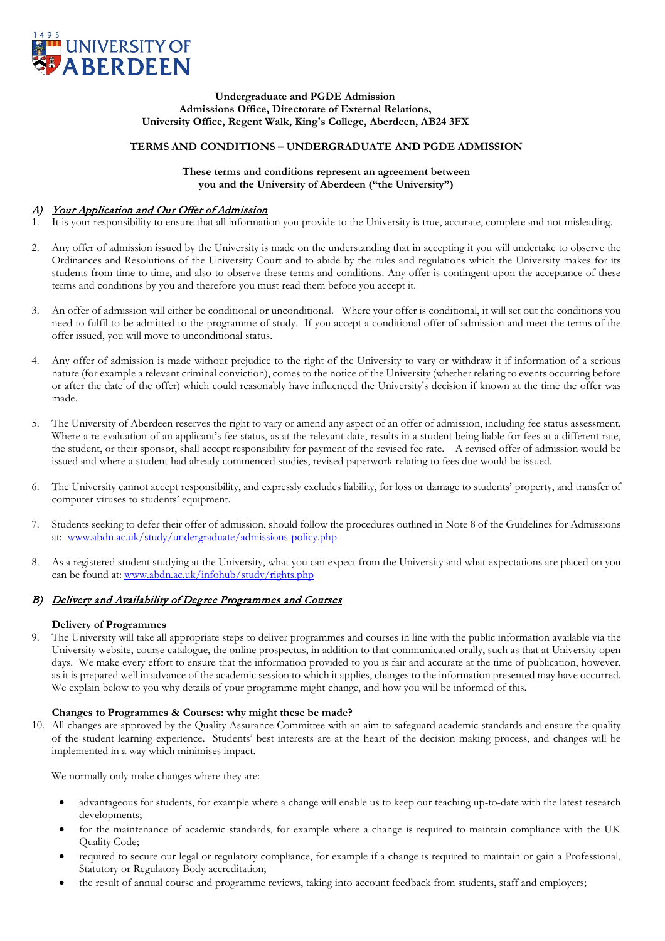

#### **Undergraduate and PGDE Admission Admissions Office, Directorate of External Relations, University Office, Regent Walk, King's College, Aberdeen, AB24 3FX**

## **TERMS AND CONDITIONS – UNDERGRADUATE AND PGDE ADMISSION**

### **These terms and conditions represent an agreement between you and the University of Aberdeen ("the University")**

## A) Your Application and Our Offer of Admission

- 1. It is your responsibility to ensure that all information you provide to the University is true, accurate, complete and not misleading.
- 2. Any offer of admission issued by the University is made on the understanding that in accepting it you will undertake to observe the Ordinances and Resolutions of the University Court and to abide by the rules and regulations which the University makes for its students from time to time, and also to observe these terms and conditions. Any offer is contingent upon the acceptance of these terms and conditions by you and therefore you must read them before you accept it.
- 3. An offer of admission will either be conditional or unconditional. Where your offer is conditional, it will set out the conditions you need to fulfil to be admitted to the programme of study. If you accept a conditional offer of admission and meet the terms of the offer issued, you will move to unconditional status.
- 4. Any offer of admission is made without prejudice to the right of the University to vary or withdraw it if information of a serious nature (for example a relevant criminal conviction), comes to the notice of the University (whether relating to events occurring before or after the date of the offer) which could reasonably have influenced the University's decision if known at the time the offer was made.
- 5. The University of Aberdeen reserves the right to vary or amend any aspect of an offer of admission, including fee status assessment. Where a re-evaluation of an applicant's fee status, as at the relevant date, results in a student being liable for fees at a different rate, the student, or their sponsor, shall accept responsibility for payment of the revised fee rate. A revised offer of admission would be issued and where a student had already commenced studies, revised paperwork relating to fees due would be issued.
- 6. The University cannot accept responsibility, and expressly excludes liability, for loss or damage to students' property, and transfer of computer viruses to students' equipment.
- 7. Students seeking to defer their offer of admission, should follow the procedures outlined in Note 8 of the Guidelines for Admissions at: [www.abdn.ac.uk/study/undergraduate/admissions-policy.php](http://www.abdn.ac.uk/study/undergraduate/admissions-policy.php)
- 8. As a registered student studying at the University, what you can expect from the University and what expectations are placed on you can be found at: [www.abdn.ac.uk/infohub/study/rights.php](http://www.abdn.ac.uk/infohub/study/rights.php)

# B) Delivery and Availability of Degree Programmes and Courses

## **Delivery of Programmes**

9. The University will take all appropriate steps to deliver programmes and courses in line with the public information available via the University website, course catalogue, the online prospectus, in addition to that communicated orally, such as that at University open days. We make every effort to ensure that the information provided to you is fair and accurate at the time of publication, however, as it is prepared well in advance of the academic session to which it applies, changes to the information presented may have occurred. We explain below to you why details of your programme might change, and how you will be informed of this.

## **Changes to Programmes & Courses: why might these be made?**

10. All changes are approved by the Quality Assurance Committee with an aim to safeguard academic standards and ensure the quality of the student learning experience. Students' best interests are at the heart of the decision making process, and changes will be implemented in a way which minimises impact.

We normally only make changes where they are:

- advantageous for students, for example where a change will enable us to keep our teaching up-to-date with the latest research developments;
- for the maintenance of academic standards, for example where a change is required to maintain compliance with the UK Quality Code;
- required to secure our legal or regulatory compliance, for example if a change is required to maintain or gain a Professional, Statutory or Regulatory Body accreditation;
- the result of annual course and programme reviews, taking into account feedback from students, staff and employers;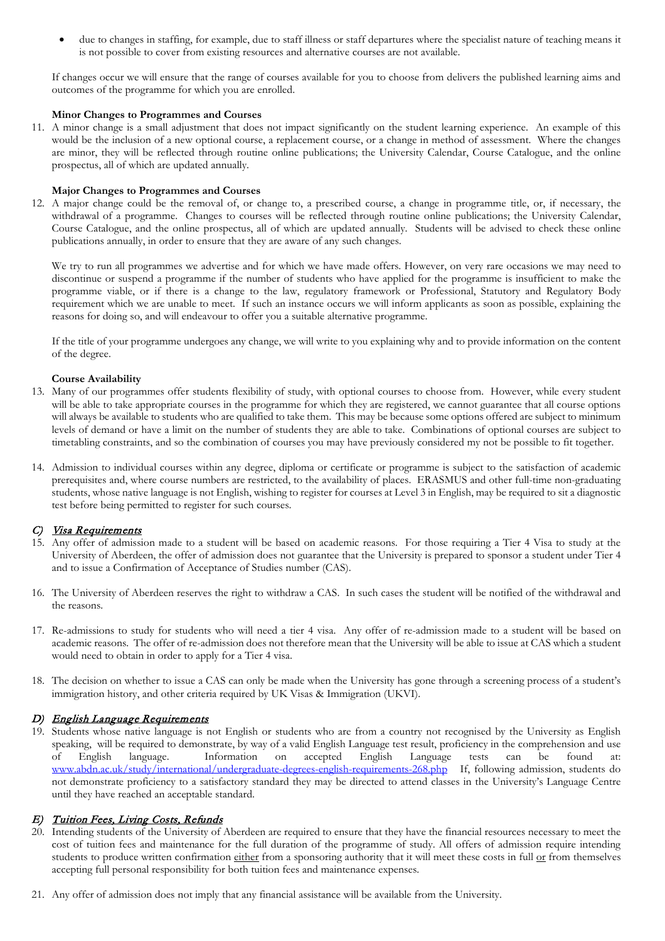• due to changes in staffing, for example, due to staff illness or staff departures where the specialist nature of teaching means it is not possible to cover from existing resources and alternative courses are not available.

If changes occur we will ensure that the range of courses available for you to choose from delivers the published learning aims and outcomes of the programme for which you are enrolled.

### **Minor Changes to Programmes and Courses**

11. A minor change is a small adjustment that does not impact significantly on the student learning experience. An example of this would be the inclusion of a new optional course, a replacement course, or a change in method of assessment. Where the changes are minor, they will be reflected through routine online publications; the University Calendar, Course Catalogue, and the online prospectus, all of which are updated annually.

### **Major Changes to Programmes and Courses**

12. A major change could be the removal of, or change to, a prescribed course, a change in programme title, or, if necessary, the withdrawal of a programme. Changes to courses will be reflected through routine online publications; the University Calendar, Course Catalogue, and the online prospectus, all of which are updated annually. Students will be advised to check these online publications annually, in order to ensure that they are aware of any such changes.

We try to run all programmes we advertise and for which we have made offers. However, on very rare occasions we may need to discontinue or suspend a programme if the number of students who have applied for the programme is insufficient to make the programme viable, or if there is a change to the law, regulatory framework or Professional, Statutory and Regulatory Body requirement which we are unable to meet. If such an instance occurs we will inform applicants as soon as possible, explaining the reasons for doing so, and will endeavour to offer you a suitable alternative programme.

If the title of your programme undergoes any change, we will write to you explaining why and to provide information on the content of the degree.

### **Course Availability**

- 13. Many of our programmes offer students flexibility of study, with optional courses to choose from. However, while every student will be able to take appropriate courses in the programme for which they are registered, we cannot guarantee that all course options will always be available to students who are qualified to take them. This may be because some options offered are subject to minimum levels of demand or have a limit on the number of students they are able to take. Combinations of optional courses are subject to timetabling constraints, and so the combination of courses you may have previously considered my not be possible to fit together.
- 14. Admission to individual courses within any degree, diploma or certificate or programme is subject to the satisfaction of academic prerequisites and, where course numbers are restricted, to the availability of places. ERASMUS and other full-time non-graduating students, whose native language is not English, wishing to register for courses at Level 3 in English, may be required to sit a diagnostic test before being permitted to register for such courses.

## C) Visa Requirements

- 15. Any offer of admission made to a student will be based on academic reasons. For those requiring a Tier 4 Visa to study at the University of Aberdeen, the offer of admission does not guarantee that the University is prepared to sponsor a student under Tier 4 and to issue a Confirmation of Acceptance of Studies number (CAS).
- 16. The University of Aberdeen reserves the right to withdraw a CAS. In such cases the student will be notified of the withdrawal and the reasons.
- 17. Re-admissions to study for students who will need a tier 4 visa. Any offer of re-admission made to a student will be based on academic reasons. The offer of re-admission does not therefore mean that the University will be able to issue at CAS which a student would need to obtain in order to apply for a Tier 4 visa.
- 18. The decision on whether to issue a CAS can only be made when the University has gone through a screening process of a student's immigration history, and other criteria required by UK Visas & Immigration (UKVI).

## D) English Language Requirements

19. Students whose native language is not English or students who are from a country not recognised by the University as English speaking, will be required to demonstrate, by way of a valid English Language test result, proficiency in the comprehension and use of English language. Information on accepted English Language tests can be found at: of English language. Information on accepted English Language tests can be found at: [www.abdn.ac.uk/study/international/undergraduate-degrees-english-requirements-268.php](http://www.abdn.ac.uk/study/international/undergraduate-degrees-english-requirements-268.php) If, following admission, students do not demonstrate proficiency to a satisfactory standard they may be directed to attend classes in the University's Language Centre until they have reached an acceptable standard.

## E) Tuition Fees, Living Costs, Refunds

- 20. Intending students of the University of Aberdeen are required to ensure that they have the financial resources necessary to meet the cost of tuition fees and maintenance for the full duration of the programme of study. All offers of admission require intending students to produce written confirmation either from a sponsoring authority that it will meet these costs in full or from themselves accepting full personal responsibility for both tuition fees and maintenance expenses.
- 21. Any offer of admission does not imply that any financial assistance will be available from the University.